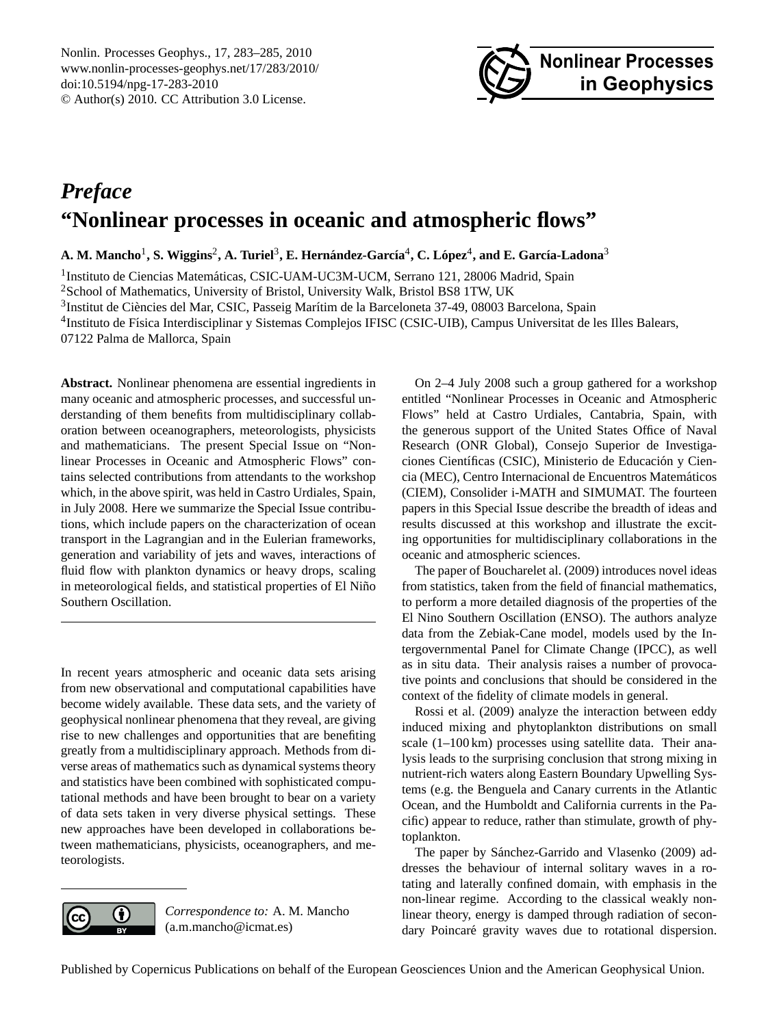<span id="page-0-0"></span>Nonlin. Processes Geophys., 17, 283–285, 2010 www.nonlin-processes-geophys.net/17/283/2010/ doi:10.5194/npg-17-283-2010 © Author(s) 2010. CC Attribution 3.0 License.



## *Preface* **"Nonlinear processes in oceanic and atmospheric flows"**

 $\bf{A.~M.~Mancho^1, S.~Wiggins^2, A.~Turiel^3, E.~Hernández-García^4, C. López^4, and E. García-Ladona^3$ 

<sup>1</sup>Instituto de Ciencias Matemáticas, CSIC-UAM-UC3M-UCM, Serrano 121, 28006 Madrid, Spain

<sup>2</sup>School of Mathematics, University of Bristol, University Walk, Bristol BS8 1TW, UK

<sup>3</sup>Institut de Ciències del Mar, CSIC, Passeig Marítim de la Barceloneta 37-49, 08003 Barcelona, Spain

<sup>4</sup>Instituto de Física Interdisciplinar y Sistemas Complejos IFISC (CSIC-UIB), Campus Universitat de les Illes Balears,

07122 Palma de Mallorca, Spain

**Abstract.** Nonlinear phenomena are essential ingredients in many oceanic and atmospheric processes, and successful understanding of them benefits from multidisciplinary collaboration between oceanographers, meteorologists, physicists and mathematicians. The present Special Issue on "Nonlinear Processes in Oceanic and Atmospheric Flows" contains selected contributions from attendants to the workshop which, in the above spirit, was held in Castro Urdiales, Spain, in July 2008. Here we summarize the Special Issue contributions, which include papers on the characterization of ocean transport in the Lagrangian and in the Eulerian frameworks, generation and variability of jets and waves, interactions of fluid flow with plankton dynamics or heavy drops, scaling in meteorological fields, and statistical properties of El Niño Southern Oscillation.

In recent years atmospheric and oceanic data sets arising from new observational and computational capabilities have become widely available. These data sets, and the variety of geophysical nonlinear phenomena that they reveal, are giving rise to new challenges and opportunities that are benefiting greatly from a multidisciplinary approach. Methods from diverse areas of mathematics such as dynamical systems theory and statistics have been combined with sophisticated computational methods and have been brought to bear on a variety of data sets taken in very diverse physical settings. These new approaches have been developed in collaborations between mathematicians, physicists, oceanographers, and meteorologists.



*Correspondence to:* A. M. Mancho (a.m.mancho@icmat.es)

On 2–4 July 2008 such a group gathered for a workshop entitled "Nonlinear Processes in Oceanic and Atmospheric Flows" held at Castro Urdiales, Cantabria, Spain, with the generous support of the United States Office of Naval Research (ONR Global), Consejo Superior de Investigaciones Científicas (CSIC), Ministerio de Educación y Ciencia (MEC), Centro Internacional de Encuentros Matematicos ´ (CIEM), Consolider i-MATH and SIMUMAT. The fourteen papers in this Special Issue describe the breadth of ideas and results discussed at this workshop and illustrate the exciting opportunities for multidisciplinary collaborations in the oceanic and atmospheric sciences.

The paper of [Boucharelet al.](#page-2-0) [\(2009\)](#page-2-0) introduces novel ideas from statistics, taken from the field of financial mathematics, to perform a more detailed diagnosis of the properties of the El Nino Southern Oscillation (ENSO). The authors analyze data from the Zebiak-Cane model, models used by the Intergovernmental Panel for Climate Change (IPCC), as well as in situ data. Their analysis raises a number of provocative points and conclusions that should be considered in the context of the fidelity of climate models in general.

[Rossi et al.](#page-2-1) [\(2009\)](#page-2-1) analyze the interaction between eddy induced mixing and phytoplankton distributions on small scale (1–100 km) processes using satellite data. Their analysis leads to the surprising conclusion that strong mixing in nutrient-rich waters along Eastern Boundary Upwelling Systems (e.g. the Benguela and Canary currents in the Atlantic Ocean, and the Humboldt and California currents in the Pacific) appear to reduce, rather than stimulate, growth of phytoplankton.

The paper by Sánchez-Garrido and Vlasenko [\(2009\)](#page-2-2) addresses the behaviour of internal solitary waves in a rotating and laterally confined domain, with emphasis in the non-linear regime. According to the classical weakly nonlinear theory, energy is damped through radiation of secondary Poincaré gravity waves due to rotational dispersion.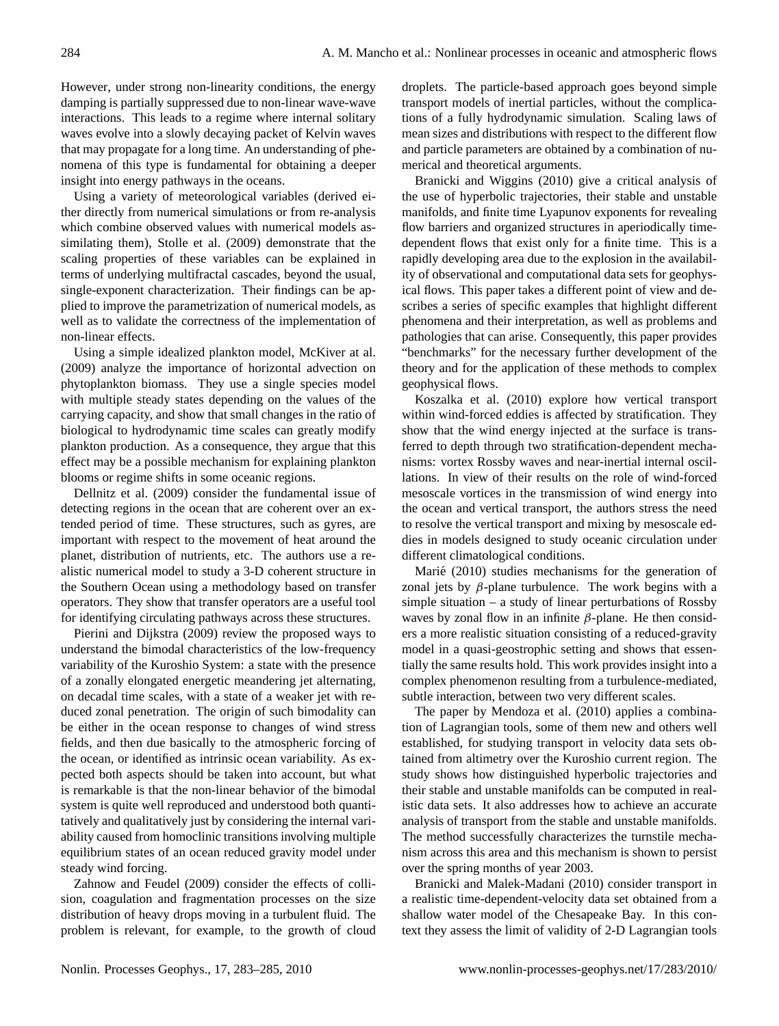However, under strong non-linearity conditions, the energy damping is partially suppressed due to non-linear wave-wave interactions. This leads to a regime where internal solitary waves evolve into a slowly decaying packet of Kelvin waves that may propagate for a long time. An understanding of phenomena of this type is fundamental for obtaining a deeper insight into energy pathways in the oceans.

Using a variety of meteorological variables (derived either directly from numerical simulations or from re-analysis which combine observed values with numerical models assimilating them), [Stolle et al.](#page-2-3) [\(2009\)](#page-2-3) demonstrate that the scaling properties of these variables can be explained in terms of underlying multifractal cascades, beyond the usual, single-exponent characterization. Their findings can be applied to improve the parametrization of numerical models, as well as to validate the correctness of the implementation of non-linear effects.

Using a simple idealized plankton model, [McKiver at al.](#page-2-4) [\(2009\)](#page-2-4) analyze the importance of horizontal advection on phytoplankton biomass. They use a single species model with multiple steady states depending on the values of the carrying capacity, and show that small changes in the ratio of biological to hydrodynamic time scales can greatly modify plankton production. As a consequence, they argue that this effect may be a possible mechanism for explaining plankton blooms or regime shifts in some oceanic regions.

[Dellnitz et al.](#page-2-5) [\(2009\)](#page-2-5) consider the fundamental issue of detecting regions in the ocean that are coherent over an extended period of time. These structures, such as gyres, are important with respect to the movement of heat around the planet, distribution of nutrients, etc. The authors use a realistic numerical model to study a 3-D coherent structure in the Southern Ocean using a methodology based on transfer operators. They show that transfer operators are a useful tool for identifying circulating pathways across these structures.

[Pierini and Dijkstra](#page-2-6) [\(2009\)](#page-2-6) review the proposed ways to understand the bimodal characteristics of the low-frequency variability of the Kuroshio System: a state with the presence of a zonally elongated energetic meandering jet alternating, on decadal time scales, with a state of a weaker jet with reduced zonal penetration. The origin of such bimodality can be either in the ocean response to changes of wind stress fields, and then due basically to the atmospheric forcing of the ocean, or identified as intrinsic ocean variability. As expected both aspects should be taken into account, but what is remarkable is that the non-linear behavior of the bimodal system is quite well reproduced and understood both quantitatively and qualitatively just by considering the internal variability caused from homoclinic transitions involving multiple equilibrium states of an ocean reduced gravity model under steady wind forcing.

[Zahnow and Feudel](#page-2-7) [\(2009\)](#page-2-7) consider the effects of collision, coagulation and fragmentation processes on the size distribution of heavy drops moving in a turbulent fluid. The problem is relevant, for example, to the growth of cloud

droplets. The particle-based approach goes beyond simple transport models of inertial particles, without the complications of a fully hydrodynamic simulation. Scaling laws of mean sizes and distributions with respect to the different flow and particle parameters are obtained by a combination of numerical and theoretical arguments.

[Branicki and Wiggins](#page-2-8) [\(2010\)](#page-2-8) give a critical analysis of the use of hyperbolic trajectories, their stable and unstable manifolds, and finite time Lyapunov exponents for revealing flow barriers and organized structures in aperiodically timedependent flows that exist only for a finite time. This is a rapidly developing area due to the explosion in the availability of observational and computational data sets for geophysical flows. This paper takes a different point of view and describes a series of specific examples that highlight different phenomena and their interpretation, as well as problems and pathologies that can arise. Consequently, this paper provides "benchmarks" for the necessary further development of the theory and for the application of these methods to complex geophysical flows.

[Koszalka et al.](#page-2-9) [\(2010\)](#page-2-9) explore how vertical transport within wind-forced eddies is affected by stratification. They show that the wind energy injected at the surface is transferred to depth through two stratification-dependent mechanisms: vortex Rossby waves and near-inertial internal oscillations. In view of their results on the role of wind-forced mesoscale vortices in the transmission of wind energy into the ocean and vertical transport, the authors stress the need to resolve the vertical transport and mixing by mesoscale eddies in models designed to study oceanic circulation under different climatological conditions.

Marié [\(2010\)](#page-2-10) studies mechanisms for the generation of zonal jets by β-plane turbulence. The work begins with a simple situation – a study of linear perturbations of Rossby waves by zonal flow in an infinite  $\beta$ -plane. He then considers a more realistic situation consisting of a reduced-gravity model in a quasi-geostrophic setting and shows that essentially the same results hold. This work provides insight into a complex phenomenon resulting from a turbulence-mediated, subtle interaction, between two very different scales.

The paper by [Mendoza et al.](#page-2-11) [\(2010\)](#page-2-11) applies a combination of Lagrangian tools, some of them new and others well established, for studying transport in velocity data sets obtained from altimetry over the Kuroshio current region. The study shows how distinguished hyperbolic trajectories and their stable and unstable manifolds can be computed in realistic data sets. It also addresses how to achieve an accurate analysis of transport from the stable and unstable manifolds. The method successfully characterizes the turnstile mechanism across this area and this mechanism is shown to persist over the spring months of year 2003.

[Branicki and Malek-Madani](#page-2-12) [\(2010\)](#page-2-12) consider transport in a realistic time-dependent-velocity data set obtained from a shallow water model of the Chesapeake Bay. In this context they assess the limit of validity of 2-D Lagrangian tools